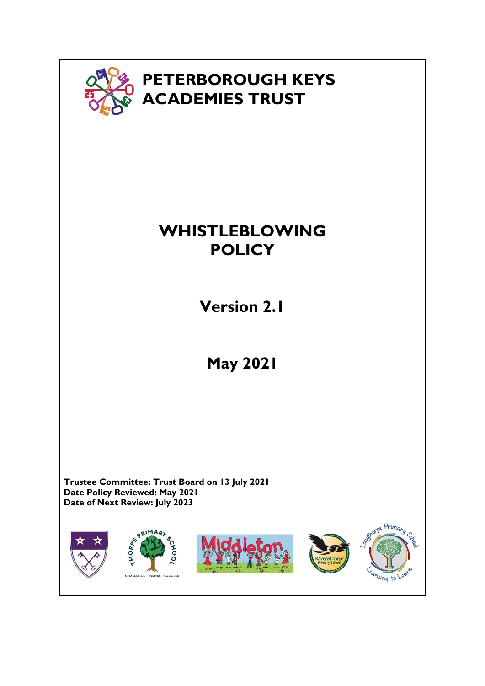

# **WHISTLEBLOWING POLICY**

**Version 2.1**

**May 2021**

**Trustee Committee: Trust Board on 13 July 2021 Date Policy Reviewed: May 2021 Date of Next Review: July 2023**

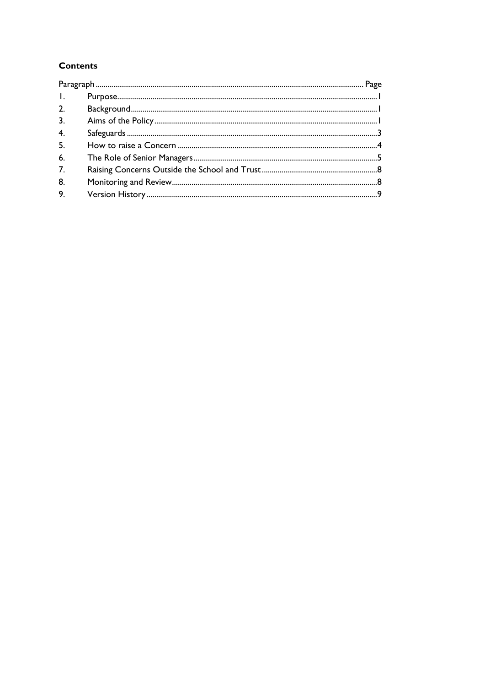# **Contents**

| $\mathbf{I}$ , $\mathbf{I}$ |  |  |
|-----------------------------|--|--|
| 2.                          |  |  |
| 3.                          |  |  |
| 4.                          |  |  |
| 5 <sub>1</sub>              |  |  |
| 6.                          |  |  |
| 7.                          |  |  |
| 8.                          |  |  |
| 9.                          |  |  |
|                             |  |  |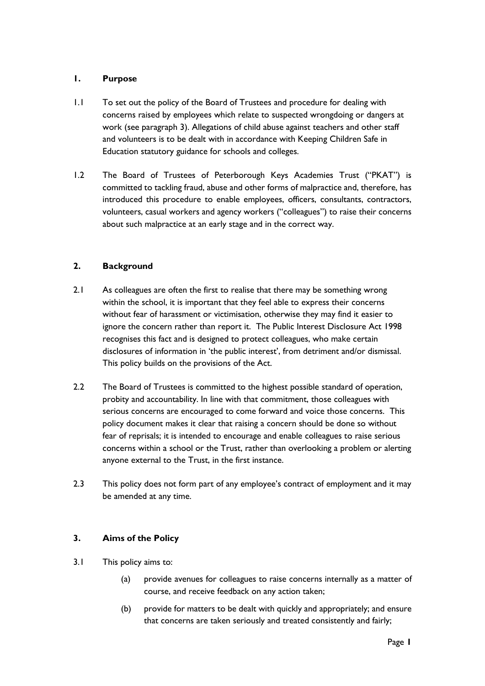#### **1. Purpose**

- 1.1 To set out the policy of the Board of Trustees and procedure for dealing with concerns raised by employees which relate to suspected wrongdoing or dangers at work (see paragraph 3). Allegations of child abuse against teachers and other staff and volunteers is to be dealt with in accordance with Keeping Children Safe in Education statutory guidance for schools and colleges.
- 1.2 The Board of Trustees of Peterborough Keys Academies Trust ("PKAT") is committed to tackling fraud, abuse and other forms of malpractice and, therefore, has introduced this procedure to enable employees, officers, consultants, contractors, volunteers, casual workers and agency workers ("colleagues") to raise their concerns about such malpractice at an early stage and in the correct way.

## **2. Background**

- 2.1 As colleagues are often the first to realise that there may be something wrong within the school, it is important that they feel able to express their concerns without fear of harassment or victimisation, otherwise they may find it easier to ignore the concern rather than report it. The Public Interest Disclosure Act 1998 recognises this fact and is designed to protect colleagues, who make certain disclosures of information in 'the public interest', from detriment and/or dismissal. This policy builds on the provisions of the Act.
- 2.2 The Board of Trustees is committed to the highest possible standard of operation, probity and accountability. In line with that commitment, those colleagues with serious concerns are encouraged to come forward and voice those concerns. This policy document makes it clear that raising a concern should be done so without fear of reprisals; it is intended to encourage and enable colleagues to raise serious concerns within a school or the Trust, rather than overlooking a problem or alerting anyone external to the Trust, in the first instance.
- 2.3 This policy does not form part of any employee's contract of employment and it may be amended at any time.

## **3. Aims of the Policy**

- 3.1 This policy aims to:
	- (a) provide avenues for colleagues to raise concerns internally as a matter of course, and receive feedback on any action taken;
	- (b) provide for matters to be dealt with quickly and appropriately; and ensure that concerns are taken seriously and treated consistently and fairly;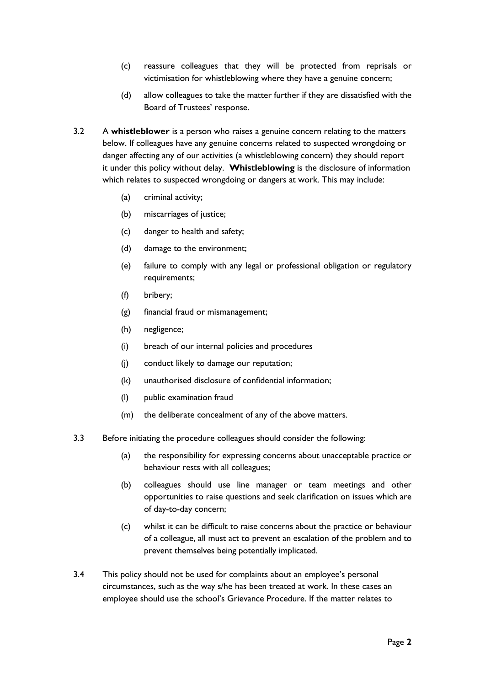- (c) reassure colleagues that they will be protected from reprisals or victimisation for whistleblowing where they have a genuine concern;
- (d) allow colleagues to take the matter further if they are dissatisfied with the Board of Trustees' response.
- 3.2 A **whistleblower** is a person who raises a genuine concern relating to the matters below. If colleagues have any genuine concerns related to suspected wrongdoing or danger affecting any of our activities (a whistleblowing concern) they should report it under this policy without delay. **Whistleblowing** is the disclosure of information which relates to suspected wrongdoing or dangers at work. This may include:
	- (a) criminal activity;
	- (b) miscarriages of justice;
	- (c) danger to health and safety;
	- (d) damage to the environment;
	- (e) failure to comply with any legal or professional obligation or regulatory requirements;
	- (f) bribery;
	- (g) financial fraud or mismanagement;
	- (h) negligence;
	- (i) breach of our internal policies and procedures
	- (j) conduct likely to damage our reputation;
	- (k) unauthorised disclosure of confidential information;
	- (l) public examination fraud
	- (m) the deliberate concealment of any of the above matters.
- 3.3 Before initiating the procedure colleagues should consider the following:
	- (a) the responsibility for expressing concerns about unacceptable practice or behaviour rests with all colleagues;
	- (b) colleagues should use line manager or team meetings and other opportunities to raise questions and seek clarification on issues which are of day-to-day concern;
	- (c) whilst it can be difficult to raise concerns about the practice or behaviour of a colleague, all must act to prevent an escalation of the problem and to prevent themselves being potentially implicated.
- 3.4 This policy should not be used for complaints about an employee's personal circumstances, such as the way s/he has been treated at work. In these cases an employee should use the school's Grievance Procedure. If the matter relates to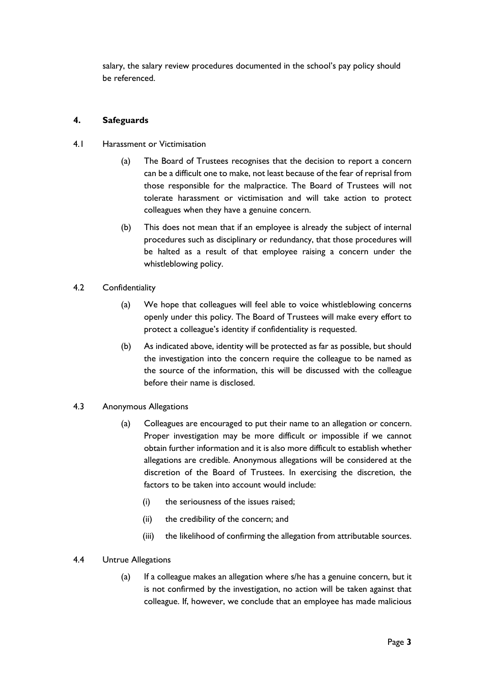salary, the salary review procedures documented in the school's pay policy should be referenced.

## **4. Safeguards**

- 4.1 Harassment or Victimisation
	- (a) The Board of Trustees recognises that the decision to report a concern can be a difficult one to make, not least because of the fear of reprisal from those responsible for the malpractice. The Board of Trustees will not tolerate harassment or victimisation and will take action to protect colleagues when they have a genuine concern.
	- (b) This does not mean that if an employee is already the subject of internal procedures such as disciplinary or redundancy, that those procedures will be halted as a result of that employee raising a concern under the whistleblowing policy.

## 4.2 Confidentiality

- (a) We hope that colleagues will feel able to voice whistleblowing concerns openly under this policy. The Board of Trustees will make every effort to protect a colleague's identity if confidentiality is requested.
- (b) As indicated above, identity will be protected as far as possible, but should the investigation into the concern require the colleague to be named as the source of the information, this will be discussed with the colleague before their name is disclosed.
- 4.3 Anonymous Allegations
	- (a) Colleagues are encouraged to put their name to an allegation or concern. Proper investigation may be more difficult or impossible if we cannot obtain further information and it is also more difficult to establish whether allegations are credible. Anonymous allegations will be considered at the discretion of the Board of Trustees. In exercising the discretion, the factors to be taken into account would include:
		- (i) the seriousness of the issues raised;
		- (ii) the credibility of the concern; and
		- (iii) the likelihood of confirming the allegation from attributable sources.

#### 4.4 Untrue Allegations

(a) If a colleague makes an allegation where s/he has a genuine concern, but it is not confirmed by the investigation, no action will be taken against that colleague. If, however, we conclude that an employee has made malicious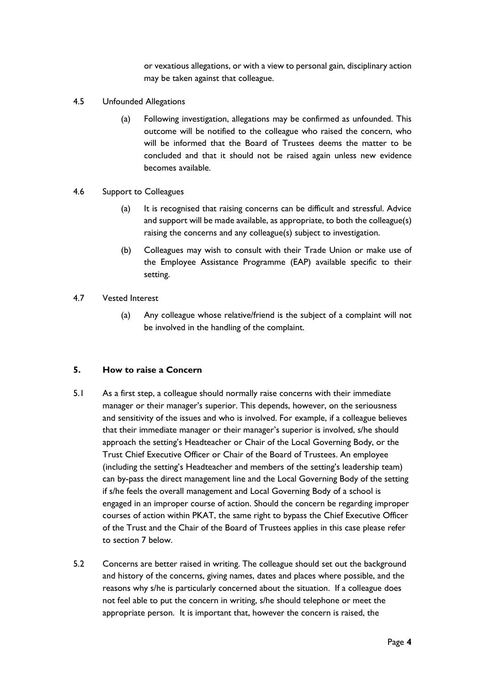or vexatious allegations, or with a view to personal gain, disciplinary action may be taken against that colleague.

- 4.5 Unfounded Allegations
	- (a) Following investigation, allegations may be confirmed as unfounded. This outcome will be notified to the colleague who raised the concern, who will be informed that the Board of Trustees deems the matter to be concluded and that it should not be raised again unless new evidence becomes available.
- 4.6 Support to Colleagues
	- (a) It is recognised that raising concerns can be difficult and stressful. Advice and support will be made available, as appropriate, to both the colleague(s) raising the concerns and any colleague(s) subject to investigation.
	- (b) Colleagues may wish to consult with their Trade Union or make use of the Employee Assistance Programme (EAP) available specific to their setting.
- 4.7 Vested Interest
	- (a) Any colleague whose relative/friend is the subject of a complaint will not be involved in the handling of the complaint.

#### **5. How to raise a Concern**

- 5.1 As a first step, a colleague should normally raise concerns with their immediate manager or their manager's superior. This depends, however, on the seriousness and sensitivity of the issues and who is involved. For example, if a colleague believes that their immediate manager or their manager's superior is involved, s/he should approach the setting's Headteacher or Chair of the Local Governing Body, or the Trust Chief Executive Officer or Chair of the Board of Trustees. An employee (including the setting's Headteacher and members of the setting's leadership team) can by-pass the direct management line and the Local Governing Body of the setting if s/he feels the overall management and Local Governing Body of a school is engaged in an improper course of action. Should the concern be regarding improper courses of action within PKAT, the same right to bypass the Chief Executive Officer of the Trust and the Chair of the Board of Trustees applies in this case please refer to section 7 below.
- 5.2 Concerns are better raised in writing. The colleague should set out the background and history of the concerns, giving names, dates and places where possible, and the reasons why s/he is particularly concerned about the situation. If a colleague does not feel able to put the concern in writing, s/he should telephone or meet the appropriate person. It is important that, however the concern is raised, the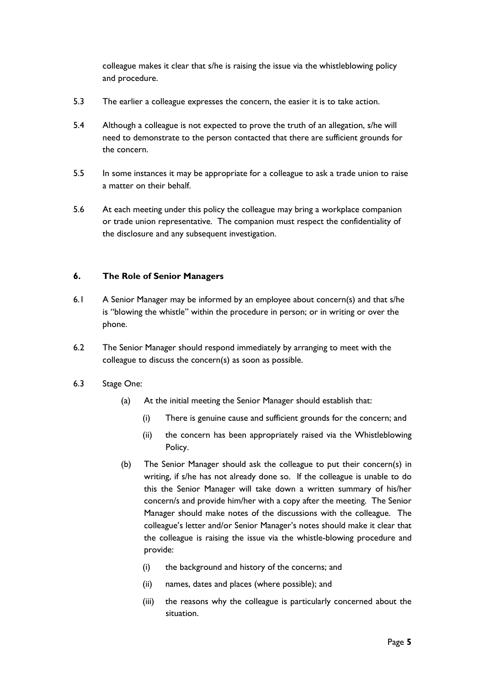colleague makes it clear that s/he is raising the issue via the whistleblowing policy and procedure.

- 5.3 The earlier a colleague expresses the concern, the easier it is to take action.
- 5.4 Although a colleague is not expected to prove the truth of an allegation, s/he will need to demonstrate to the person contacted that there are sufficient grounds for the concern.
- 5.5 In some instances it may be appropriate for a colleague to ask a trade union to raise a matter on their behalf.
- 5.6 At each meeting under this policy the colleague may bring a workplace companion or trade union representative. The companion must respect the confidentiality of the disclosure and any subsequent investigation.

#### **6. The Role of Senior Managers**

- 6.1 A Senior Manager may be informed by an employee about concern(s) and that s/he is "blowing the whistle" within the procedure in person; or in writing or over the phone.
- 6.2 The Senior Manager should respond immediately by arranging to meet with the colleague to discuss the concern(s) as soon as possible.
- 6.3 Stage One:
	- (a) At the initial meeting the Senior Manager should establish that:
		- (i) There is genuine cause and sufficient grounds for the concern; and
		- (ii) the concern has been appropriately raised via the Whistleblowing Policy.
	- (b) The Senior Manager should ask the colleague to put their concern(s) in writing, if s/he has not already done so. If the colleague is unable to do this the Senior Manager will take down a written summary of his/her concern/s and provide him/her with a copy after the meeting. The Senior Manager should make notes of the discussions with the colleague. The colleague's letter and/or Senior Manager's notes should make it clear that the colleague is raising the issue via the whistle-blowing procedure and provide:
		- (i) the background and history of the concerns; and
		- (ii) names, dates and places (where possible); and
		- (iii) the reasons why the colleague is particularly concerned about the situation.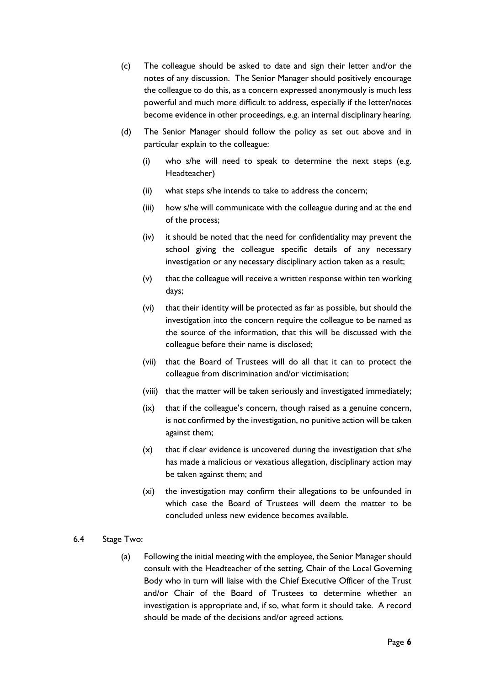- (c) The colleague should be asked to date and sign their letter and/or the notes of any discussion. The Senior Manager should positively encourage the colleague to do this, as a concern expressed anonymously is much less powerful and much more difficult to address, especially if the letter/notes become evidence in other proceedings, e.g. an internal disciplinary hearing.
- (d) The Senior Manager should follow the policy as set out above and in particular explain to the colleague:
	- (i) who s/he will need to speak to determine the next steps (e.g. Headteacher)
	- (ii) what steps s/he intends to take to address the concern;
	- (iii) how s/he will communicate with the colleague during and at the end of the process;
	- (iv) it should be noted that the need for confidentiality may prevent the school giving the colleague specific details of any necessary investigation or any necessary disciplinary action taken as a result;
	- (v) that the colleague will receive a written response within ten working days;
	- (vi) that their identity will be protected as far as possible, but should the investigation into the concern require the colleague to be named as the source of the information, that this will be discussed with the colleague before their name is disclosed;
	- (vii) that the Board of Trustees will do all that it can to protect the colleague from discrimination and/or victimisation;
	- (viii) that the matter will be taken seriously and investigated immediately;
	- (ix) that if the colleague's concern, though raised as a genuine concern, is not confirmed by the investigation, no punitive action will be taken against them;
	- (x) that if clear evidence is uncovered during the investigation that s/he has made a malicious or vexatious allegation, disciplinary action may be taken against them; and
	- (xi) the investigation may confirm their allegations to be unfounded in which case the Board of Trustees will deem the matter to be concluded unless new evidence becomes available.
- 6.4 Stage Two:
	- (a) Following the initial meeting with the employee, the Senior Manager should consult with the Headteacher of the setting, Chair of the Local Governing Body who in turn will liaise with the Chief Executive Officer of the Trust and/or Chair of the Board of Trustees to determine whether an investigation is appropriate and, if so, what form it should take. A record should be made of the decisions and/or agreed actions.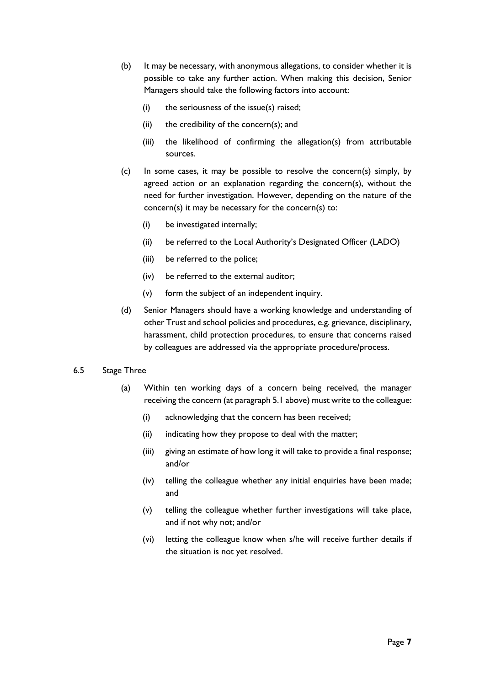- (b) It may be necessary, with anonymous allegations, to consider whether it is possible to take any further action. When making this decision, Senior Managers should take the following factors into account:
	- (i) the seriousness of the issue(s) raised;
	- (ii) the credibility of the concern(s); and
	- (iii) the likelihood of confirming the allegation(s) from attributable sources.
- (c) In some cases, it may be possible to resolve the concern(s) simply, by agreed action or an explanation regarding the concern(s), without the need for further investigation. However, depending on the nature of the concern(s) it may be necessary for the concern(s) to:
	- (i) be investigated internally;
	- (ii) be referred to the Local Authority's Designated Officer (LADO)
	- (iii) be referred to the police;
	- (iv) be referred to the external auditor;
	- (v) form the subject of an independent inquiry.
- (d) Senior Managers should have a working knowledge and understanding of other Trust and school policies and procedures, e.g. grievance, disciplinary, harassment, child protection procedures, to ensure that concerns raised by colleagues are addressed via the appropriate procedure/process.

#### 6.5 Stage Three

- (a) Within ten working days of a concern being received, the manager receiving the concern (at paragraph 5.1 above) must write to the colleague:
	- (i) acknowledging that the concern has been received;
	- (ii) indicating how they propose to deal with the matter;
	- (iii) giving an estimate of how long it will take to provide a final response; and/or
	- (iv) telling the colleague whether any initial enquiries have been made; and
	- (v) telling the colleague whether further investigations will take place, and if not why not; and/or
	- (vi) letting the colleague know when s/he will receive further details if the situation is not yet resolved.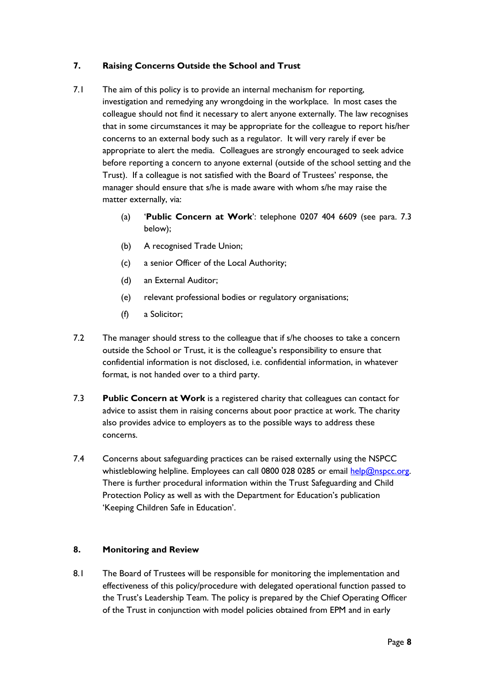## **7. Raising Concerns Outside the School and Trust**

- 7.1 The aim of this policy is to provide an internal mechanism for reporting, investigation and remedying any wrongdoing in the workplace. In most cases the colleague should not find it necessary to alert anyone externally. The law recognises that in some circumstances it may be appropriate for the colleague to report his/her concerns to an external body such as a regulator. It will very rarely if ever be appropriate to alert the media. Colleagues are strongly encouraged to seek advice before reporting a concern to anyone external (outside of the school setting and the Trust). If a colleague is not satisfied with the Board of Trustees' response, the manager should ensure that s/he is made aware with whom s/he may raise the matter externally, via:
	- (a) '**Public Concern at Work**': telephone 0207 404 6609 (see para. 7.3 below);
	- (b) A recognised Trade Union;
	- (c) a senior Officer of the Local Authority;
	- (d) an External Auditor;
	- (e) relevant professional bodies or regulatory organisations;
	- (f) a Solicitor;
- 7.2 The manager should stress to the colleague that if s/he chooses to take a concern outside the School or Trust, it is the colleague's responsibility to ensure that confidential information is not disclosed, i.e. confidential information, in whatever format, is not handed over to a third party.
- 7.3 **Public Concern at Work** is a registered charity that colleagues can contact for advice to assist them in raising concerns about poor practice at work. The charity also provides advice to employers as to the possible ways to address these concerns.
- 7.4 Concerns about safeguarding practices can be raised externally using the NSPCC whistleblowing helpline. Employees can call 0800 028 0285 or email help@nspcc.org. There is further procedural information within the Trust Safeguarding and Child Protection Policy as well as with the Department for Education's publication 'Keeping Children Safe in Education'.

#### **8. Monitoring and Review**

8.1 The Board of Trustees will be responsible for monitoring the implementation and effectiveness of this policy/procedure with delegated operational function passed to the Trust's Leadership Team. The policy is prepared by the Chief Operating Officer of the Trust in conjunction with model policies obtained from EPM and in early